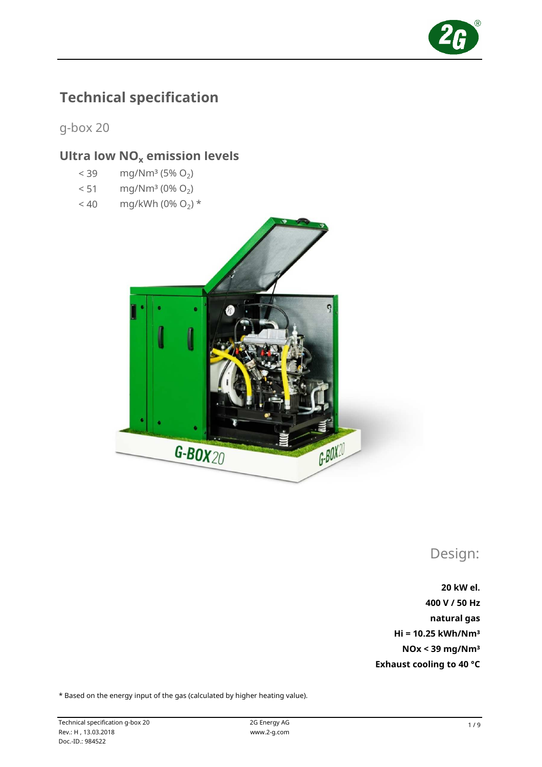

# Technical specification

g-box 20

# Ultra low  $NO<sub>x</sub>$  emission levels

- $<$  39 mg/Nm<sup>3</sup> (5% O<sub>2</sub>)
- $< 51$  mg/Nm<sup>3</sup> (0% O<sub>2</sub>)
- $< 40$  mg/kWh (0% O<sub>2</sub>) \*



Design:

20 kW el. 400 V / 50 Hz natural gas NOx < 39 mg/Nm³ Exhaust cooling to 40 °C Hi = 10.25 kWh/Nm³

\* Based on the energy input of the gas (calculated by higher heating value).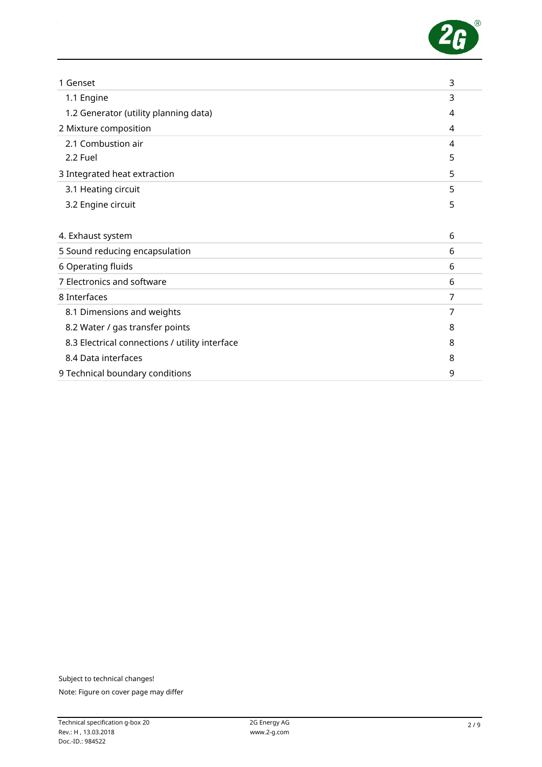

| 1 Genset                                       | 3 |
|------------------------------------------------|---|
| 1.1 Engine                                     | 3 |
| 1.2 Generator (utility planning data)          | 4 |
| 2 Mixture composition                          | 4 |
| 2.1 Combustion air                             | 4 |
| 2.2 Fuel                                       | 5 |
| 3 Integrated heat extraction                   | 5 |
| 3.1 Heating circuit                            | 5 |
| 3.2 Engine circuit                             | 5 |
|                                                |   |
| 4. Exhaust system                              | 6 |
| 5 Sound reducing encapsulation                 | 6 |
| 6 Operating fluids                             | 6 |
| 7 Electronics and software                     | 6 |
| 8 Interfaces                                   | 7 |
| 8.1 Dimensions and weights                     | 7 |
| 8.2 Water / gas transfer points                | 8 |
| 8.3 Electrical connections / utility interface | 8 |
| 8.4 Data interfaces                            | 8 |
| 9 Technical boundary conditions                | 9 |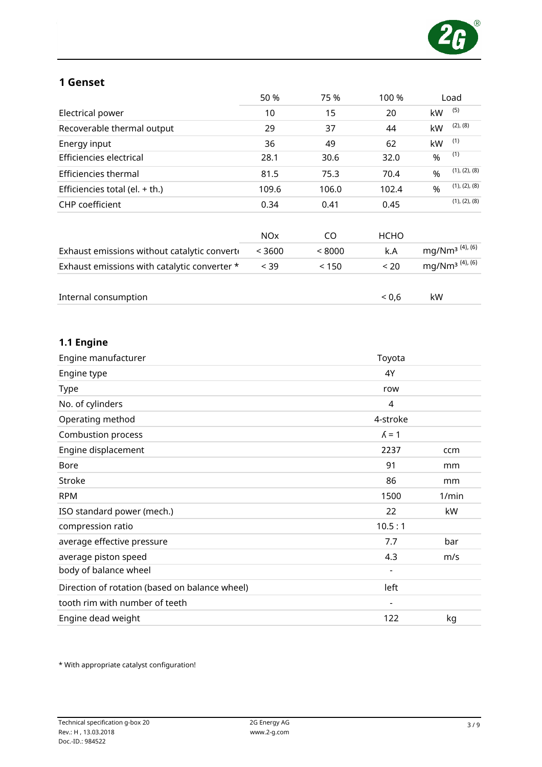

## 1 Genset

|                                              | 50 %                  | 75 %   | 100 %       |               | Load                        |
|----------------------------------------------|-----------------------|--------|-------------|---------------|-----------------------------|
| Electrical power                             | 10                    | 15     | 20          | kW            | (5)                         |
| Recoverable thermal output                   | 29                    | 37     | 44          | kW            | $(2)$ , $(8)$               |
| Energy input                                 | 36                    | 49     | 62          | kW            | (1)                         |
| Efficiencies electrical                      | 28.1                  | 30.6   | 32.0        | %             | (1)                         |
| Efficiencies thermal                         | 81.5                  | 75.3   | 70.4        | $\frac{9}{6}$ | (1), (2), (8)               |
| Efficiencies total (el. $+$ th.)             | 109.6                 | 106.0  | 102.4       | $\frac{9}{6}$ | (1), (2), (8)               |
| <b>CHP</b> coefficient                       | 0.34                  | 0.41   | 0.45        |               | (1), (2), (8)               |
|                                              | <b>NO<sub>X</sub></b> | CO.    | <b>HCHO</b> |               |                             |
| Exhaust emissions without catalytic converte | < 3600                | < 8000 | k.A         |               | mg/Nm <sup>3 (4), (6)</sup> |
| Exhaust emissions with catalytic converter * | < 39                  | < 150  | < 20        |               | mg/Nm <sup>3 (4), (6)</sup> |
| Internal consumption                         |                       |        | 0,6         | kW            |                             |

## 1.1 Engine

| Engine manufacturer                            | Toyota                   |       |
|------------------------------------------------|--------------------------|-------|
| Engine type                                    | 4Y                       |       |
| Type                                           | row                      |       |
| No. of cylinders                               | 4                        |       |
| Operating method                               | 4-stroke                 |       |
| Combustion process                             | $\lambda = 1$            |       |
| Engine displacement                            | 2237                     | ccm   |
| <b>Bore</b>                                    | 91                       | mm    |
| <b>Stroke</b>                                  | 86                       | mm    |
| <b>RPM</b>                                     | 1500                     | 1/min |
| ISO standard power (mech.)                     | 22                       | kW    |
| compression ratio                              | 10.5:1                   |       |
| average effective pressure                     | 7.7                      | bar   |
| average piston speed                           | 4.3                      | m/s   |
| body of balance wheel                          | $\overline{\phantom{a}}$ |       |
| Direction of rotation (based on balance wheel) | left                     |       |
| tooth rim with number of teeth                 | $\overline{\phantom{a}}$ |       |
| Engine dead weight                             | 122                      | kg    |

\* With appropriate catalyst configuration!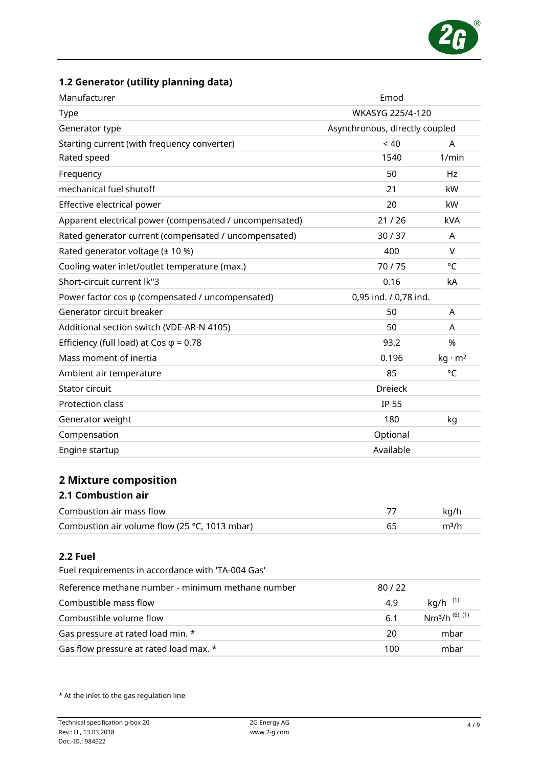

## 1.2 Generator (utility planning data)

| Manufacturer                                                  | Emod                           |                                        |  |
|---------------------------------------------------------------|--------------------------------|----------------------------------------|--|
| Type                                                          | WKASYG 225/4-120               |                                        |  |
| Generator type                                                | Asynchronous, directly coupled |                                        |  |
| Starting current (with frequency converter)                   | < 40                           | A                                      |  |
| Rated speed                                                   | 1540                           | 1/min                                  |  |
| Frequency                                                     | 50                             | Hz                                     |  |
| mechanical fuel shutoff                                       | 21                             | kW                                     |  |
| Effective electrical power                                    | 20                             | kW                                     |  |
| Apparent electrical power (compensated / uncompensated)       | 21/26                          | <b>kVA</b>                             |  |
| Rated generator current (compensated / uncompensated)         | 30/37                          | A                                      |  |
| Rated generator voltage (± 10 %)                              | 400                            | V                                      |  |
| Cooling water inlet/outlet temperature (max.)                 | 70/75                          | °C                                     |  |
| Short-circuit current lk"3                                    | 0.16                           | kA                                     |  |
| Power factor cos $\varphi$ (compensated / uncompensated)      | 0,95 ind. / 0,78 ind.          |                                        |  |
| Generator circuit breaker                                     | 50                             | A                                      |  |
| Additional section switch (VDE-AR-N 4105)                     | 50                             | A                                      |  |
| Efficiency (full load) at Cos $\varphi$ = 0.78                | 93.2                           | %                                      |  |
| Mass moment of inertia                                        | 0.196                          | $kg \cdot m^2$                         |  |
| Ambient air temperature                                       | 85                             | °C                                     |  |
| Stator circuit                                                | <b>Dreieck</b>                 |                                        |  |
| Protection class                                              | <b>IP 55</b>                   |                                        |  |
| Generator weight                                              | 180                            | kg                                     |  |
| Compensation                                                  | Optional                       |                                        |  |
| Engine startup                                                | Available                      |                                        |  |
| <b>2 Mixture composition</b><br><b>2.1 Combustion air</b>     |                                |                                        |  |
| Combustion air mass flow                                      | 77                             | kg/h                                   |  |
| Combustion air volume flow (25 °C, 1013 mbar)                 | 65                             | m <sup>3</sup> /h                      |  |
| 2.2 Fuel<br>Fuel requirements in accordance with 'TA-004 Gas' |                                |                                        |  |
| Reference methane number - minimum methane number             | 80/22                          |                                        |  |
| Combustible mass flow                                         | 4.9                            | kg/h $(1)$                             |  |
| Combustible volume flow                                       | 6.1                            | Nm <sup>3</sup> /h <sup>(6), (1)</sup> |  |
| Gas pressure at rated load min. *                             | 20                             | mbar                                   |  |
| Gas flow pressure at rated load max. *                        | 100                            | mbar                                   |  |

\* At the inlet to the gas regulation line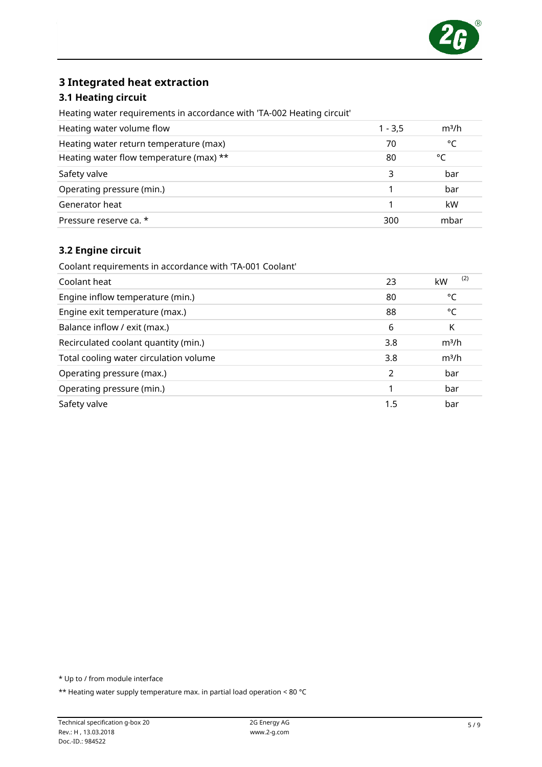

### 3 Integrated heat extraction

#### 3.1 Heating circuit

Heating water requirements in accordance with 'TA-002 Heating circuit'

| Heating water volume flow               | $1 - 3,5$ | m <sup>3</sup> /h |
|-----------------------------------------|-----------|-------------------|
| Heating water return temperature (max)  | 70        | °C                |
| Heating water flow temperature (max) ** | 80        | °٢                |
| Safety valve                            | 3         | bar               |
| Operating pressure (min.)               |           | bar               |
| Generator heat                          |           | kW                |
| Pressure reserve ca. *                  | 300       | mbar              |

#### 3.2 Engine circuit

Coolant requirements in accordance with 'TA-001 Coolant'

| Coolant heat                           | 23            | (2)<br>kW         |
|----------------------------------------|---------------|-------------------|
| Engine inflow temperature (min.)       | 80            | °C                |
| Engine exit temperature (max.)         | 88            | °C                |
| Balance inflow / exit (max.)           | 6             | K                 |
| Recirculated coolant quantity (min.)   | 3.8           | m <sup>3</sup> /h |
| Total cooling water circulation volume | 3.8           | m <sup>3</sup> /h |
| Operating pressure (max.)              | $\mathcal{P}$ | bar               |
| Operating pressure (min.)              |               | bar               |
| Safety valve                           | 1.5           | bar               |

\* Up to / from module interface

\*\* Heating water supply temperature max. in partial load operation < 80 °C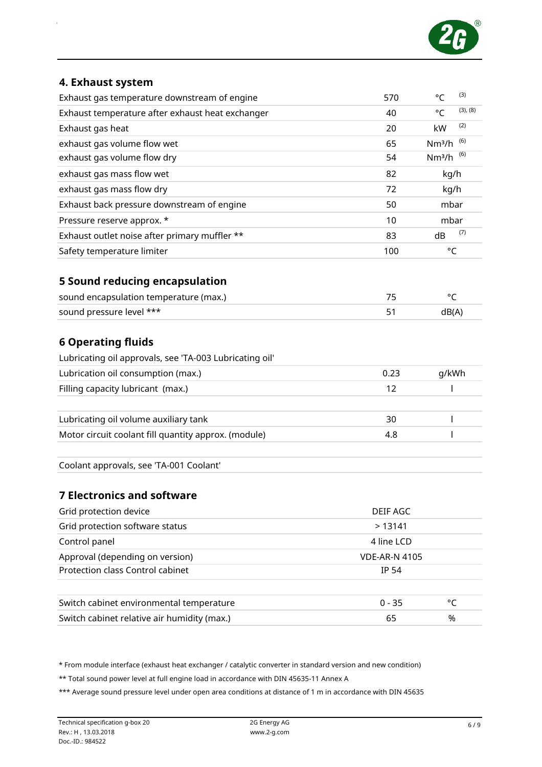

#### 4. Exhaust system

| Exhaust gas temperature downstream of engine            | 570  | $\circ$ C          | (3)      |
|---------------------------------------------------------|------|--------------------|----------|
| Exhaust temperature after exhaust heat exchanger        | 40   | $^{\circ}C$        | (3), (8) |
| Exhaust gas heat                                        | 20   | kW                 | (2)      |
| exhaust gas volume flow wet                             | 65   | Nm <sup>3</sup> /h | (6)      |
| exhaust gas volume flow dry                             | 54   | Nm <sup>3</sup> /h | (6)      |
| exhaust gas mass flow wet                               | 82   | kg/h               |          |
| exhaust gas mass flow dry                               | 72   | kg/h               |          |
| Exhaust back pressure downstream of engine              | 50   | mbar               |          |
| Pressure reserve approx. *                              | 10   | mbar               |          |
| Exhaust outlet noise after primary muffler **           | 83   | dB                 | (7)      |
| Safety temperature limiter                              | 100  | °C                 |          |
| 5 Sound reducing encapsulation                          |      |                    |          |
| sound encapsulation temperature (max.)                  | 75   | °C                 |          |
| sound pressure level ***                                | 51   | dB(A)              |          |
| <b>6 Operating fluids</b>                               |      |                    |          |
| Lubricating oil approvals, see 'TA-003 Lubricating oil' |      |                    |          |
| Lubrication oil consumption (max.)                      | 0.23 | g/kWh              |          |

| LUDITCALION ON CONSUMPTION (Max.)                    | U.Z3 | <b>GIRVIL</b> |
|------------------------------------------------------|------|---------------|
| Filling capacity lubricant (max.)                    |      |               |
|                                                      |      |               |
| Lubricating oil volume auxiliary tank                | 30   |               |
| Motor circuit coolant fill quantity approx. (module) | 4.8  |               |
|                                                      |      |               |

Coolant approvals, see 'TA-001 Coolant'

#### 7 Electronics and software

| Grid protection device                      | DEIF AGC             |  |  |
|---------------------------------------------|----------------------|--|--|
| Grid protection software status             | >13141               |  |  |
| Control panel                               | 4 line LCD           |  |  |
| Approval (depending on version)             | <b>VDE-AR-N 4105</b> |  |  |
| Protection class Control cabinet            | <b>IP 54</b>         |  |  |
|                                             | $0 - 35$<br>°C       |  |  |
| Switch cabinet environmental temperature    |                      |  |  |
| Switch cabinet relative air humidity (max.) | %<br>65              |  |  |

\* From module interface (exhaust heat exchanger / catalytic converter in standard version and new condition)

\*\* Total sound power level at full engine load in accordance with DIN 45635-11 Annex A

\*\*\* Average sound pressure level under open area conditions at distance of 1 m in accordance with DIN 45635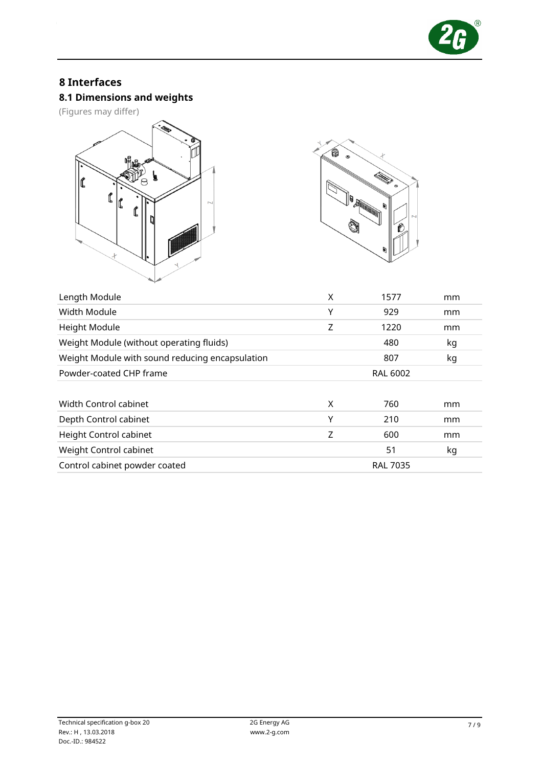

## 8 Interfaces

# 8.1 Dimensions and weights

(Figures may differ)





| Length Module                                   | Χ | 1577            | mm |
|-------------------------------------------------|---|-----------------|----|
| Width Module                                    | Υ | 929             | mm |
| Height Module                                   | Z | 1220            | mm |
| Weight Module (without operating fluids)        |   | 480             | kg |
| Weight Module with sound reducing encapsulation |   | 807             | kg |
| Powder-coated CHP frame                         |   | <b>RAL 6002</b> |    |
|                                                 |   |                 |    |
| Width Control cabinet                           | X | 760             | mm |
| Depth Control cabinet                           | Υ | 210             | mm |
| Height Control cabinet                          | Z | 600             | mm |
| Weight Control cabinet                          |   | 51              | kg |
| Control cabinet powder coated                   |   | <b>RAL 7035</b> |    |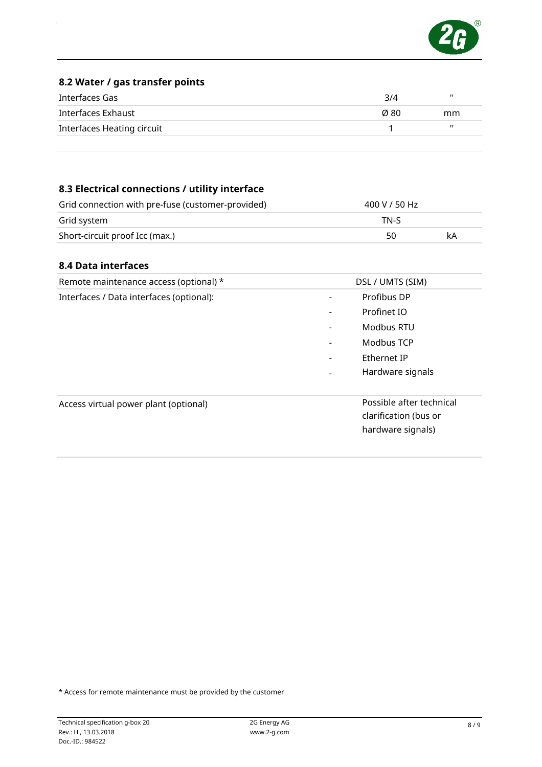

#### 8.2 Water / gas transfer points

| Interfaces Gas             | 3/4  | ш  |
|----------------------------|------|----|
| Interfaces Exhaust         | Ø 80 | mm |
| Interfaces Heating circuit |      | ш  |
|                            |      |    |

### 8.3 Electrical connections / utility interface

| Grid connection with pre-fuse (customer-provided) | 400 V / 50 Hz |    |
|---------------------------------------------------|---------------|----|
| Grid system                                       | TN-S          |    |
| Short-circuit proof Icc (max.)                    | 50            | kA |

#### 8.4 Data interfaces

| Remote maintenance access (optional) *   | DSL / UMTS (SIM)                                                       |
|------------------------------------------|------------------------------------------------------------------------|
| Interfaces / Data interfaces (optional): | Profibus DP<br>۰                                                       |
|                                          | Profinet IO<br>$\qquad \qquad \blacksquare$                            |
|                                          | Modbus RTU<br>-                                                        |
|                                          | Modbus TCP<br>$\qquad \qquad \blacksquare$                             |
|                                          | Ethernet IP<br>$\overline{\phantom{a}}$                                |
|                                          | Hardware signals                                                       |
| Access virtual power plant (optional)    | Possible after technical<br>clarification (bus or<br>hardware signals) |

\* Access for remote maintenance must be provided by the customer